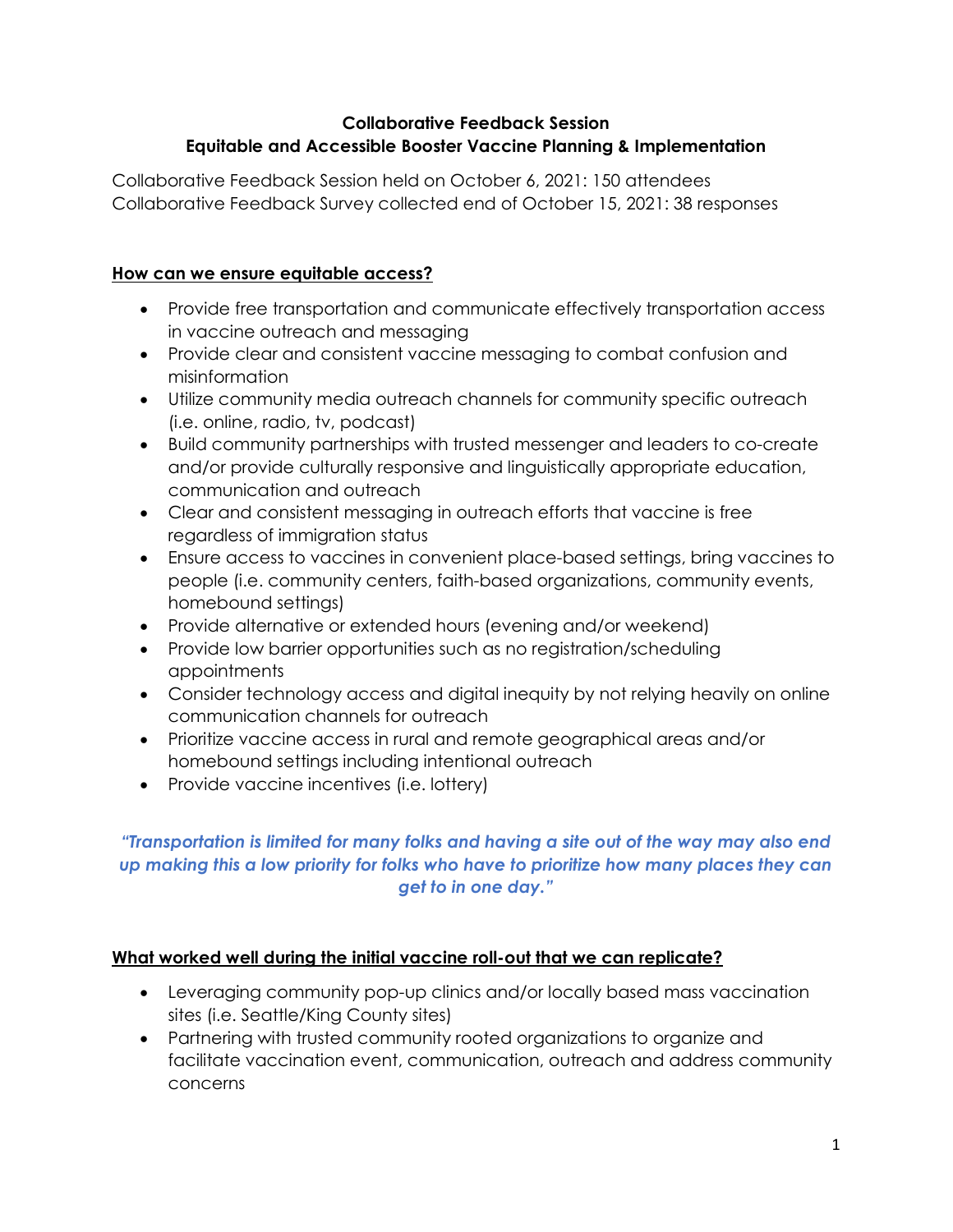### Collaborative Feedback Session Equitable and Accessible Booster Vaccine Planning & Implementation

Collaborative Feedback Session held on October 6, 2021: 150 attendees Collaborative Feedback Survey collected end of October 15, 2021: 38 responses

## How can we ensure equitable access?

- Provide free transportation and communicate effectively transportation access in vaccine outreach and messaging
- Provide clear and consistent vaccine messaging to combat confusion and misinformation
- Utilize community media outreach channels for community specific outreach (i.e. online, radio, tv, podcast)
- Build community partnerships with trusted messenger and leaders to co-create and/or provide culturally responsive and linguistically appropriate education, communication and outreach
- Clear and consistent messaging in outreach efforts that vaccine is free regardless of immigration status
- Ensure access to vaccines in convenient place-based settings, bring vaccines to people (i.e. community centers, faith-based organizations, community events, homebound settings)
- Provide alternative or extended hours (evening and/or weekend)
- Provide low barrier opportunities such as no registration/scheduling appointments
- Consider technology access and digital inequity by not relying heavily on online communication channels for outreach
- Prioritize vaccine access in rural and remote geographical areas and/or homebound settings including intentional outreach
- Provide vaccine incentives (i.e. lottery)

# "Transportation is limited for many folks and having a site out of the way may also end up making this a low priority for folks who have to prioritize how many places they can get to in one day."

## What worked well during the initial vaccine roll-out that we can replicate?

- Leveraging community pop-up clinics and/or locally based mass vaccination sites (i.e. Seattle/King County sites)
- Partnering with trusted community rooted organizations to organize and facilitate vaccination event, communication, outreach and address community concerns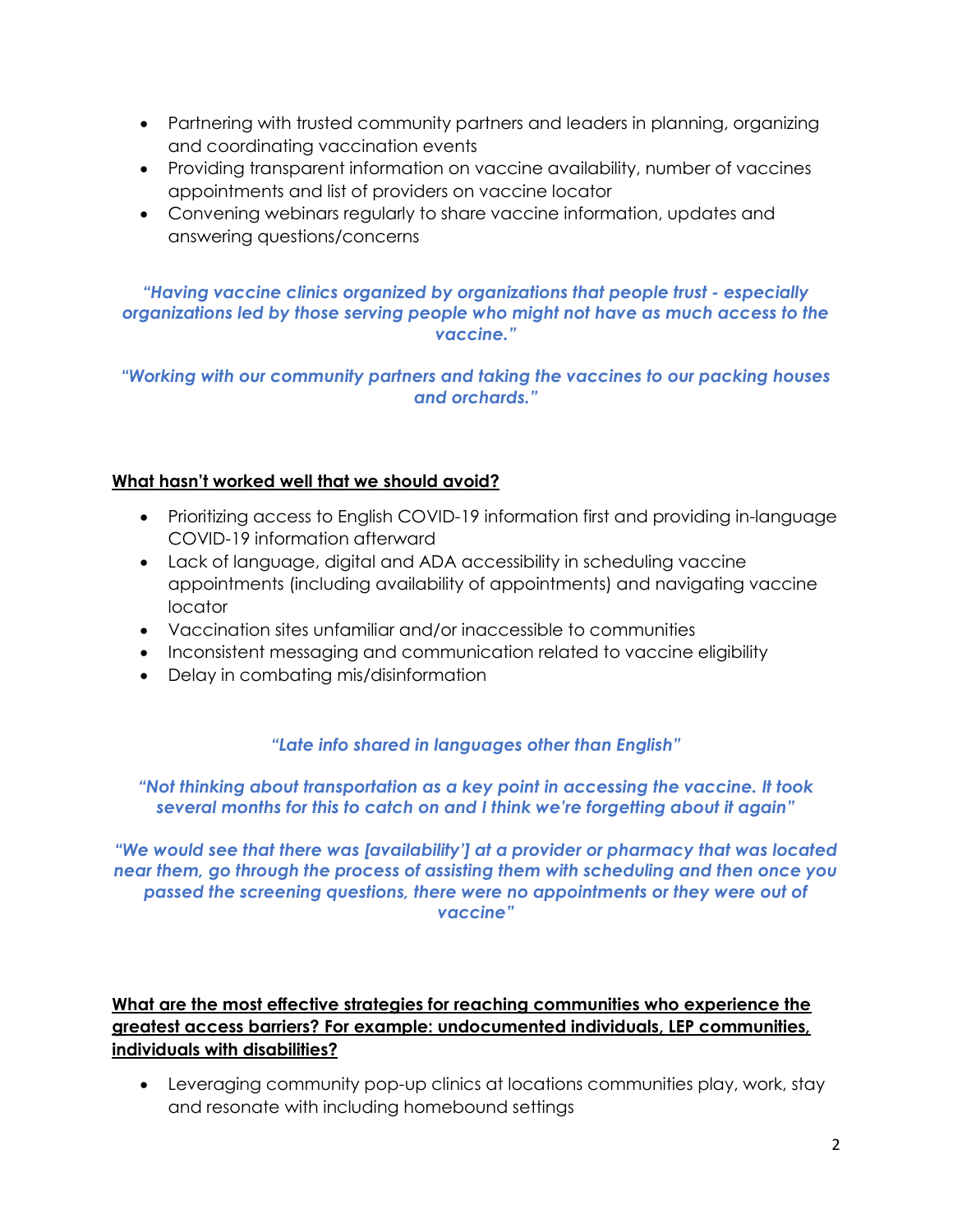- Partnering with trusted community partners and leaders in planning, organizing and coordinating vaccination events
- Providing transparent information on vaccine availability, number of vaccines appointments and list of providers on vaccine locator
- Convening webinars regularly to share vaccine information, updates and answering questions/concerns

#### "Having vaccine clinics organized by organizations that people trust - especially organizations led by those serving people who might not have as much access to the vaccine."

"Working with our community partners and taking the vaccines to our packing houses and orchards."

#### What hasn't worked well that we should avoid?

- Prioritizing access to English COVID-19 information first and providing in-language COVID-19 information afterward
- Lack of language, digital and ADA accessibility in scheduling vaccine appointments (including availability of appointments) and navigating vaccine locator
- Vaccination sites unfamiliar and/or inaccessible to communities
- Inconsistent messaging and communication related to vaccine eligibility
- Delay in combating mis/disinformation

## "Late info shared in languages other than English"

#### "Not thinking about transportation as a key point in accessing the vaccine. It took several months for this to catch on and I think we're forgetting about it again"

"We would see that there was [availability'] at a provider or pharmacy that was located near them, go through the process of assisting them with scheduling and then once you passed the screening questions, there were no appointments or they were out of vaccine"

## What are the most effective strategies for reaching communities who experience the greatest access barriers? For example: undocumented individuals, LEP communities, individuals with disabilities?

 Leveraging community pop-up clinics at locations communities play, work, stay and resonate with including homebound settings